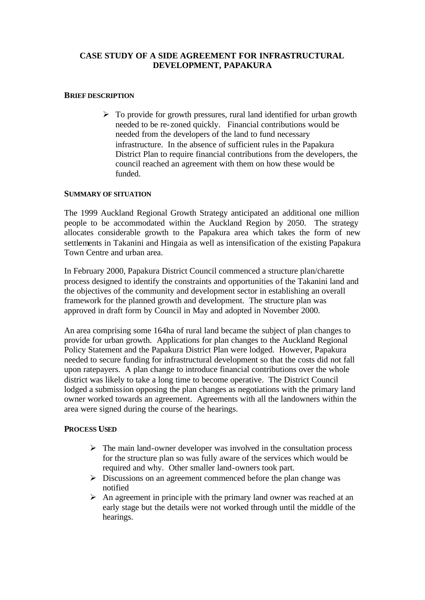## **CASE STUDY OF A SIDE AGREEMENT FOR INFRASTRUCTURAL DEVELOPMENT, PAPAKURA**

#### **BRIEF DESCRIPTION**

 $\triangleright$  To provide for growth pressures, rural land identified for urban growth needed to be re-zoned quickly. Financial contributions would be needed from the developers of the land to fund necessary infrastructure. In the absence of sufficient rules in the Papakura District Plan to require financial contributions from the developers, the council reached an agreement with them on how these would be funded.

#### **SUMMARY OF SITUATION**

The 1999 Auckland Regional Growth Strategy anticipated an additional one million people to be accommodated within the Auckland Region by 2050. The strategy allocates considerable growth to the Papakura area which takes the form of new settlements in Takanini and Hingaia as well as intensification of the existing Papakura Town Centre and urban area.

In February 2000, Papakura District Council commenced a structure plan/charette process designed to identify the constraints and opportunities of the Takanini land and the objectives of the community and development sector in establishing an overall framework for the planned growth and development. The structure plan was approved in draft form by Council in May and adopted in November 2000.

An area comprising some 164ha of rural land became the subject of plan changes to provide for urban growth. Applications for plan changes to the Auckland Regional Policy Statement and the Papakura District Plan were lodged. However, Papakura needed to secure funding for infrastructural development so that the costs did not fall upon ratepayers. A plan change to introduce financial contributions over the whole district was likely to take a long time to become operative. The District Council lodged a submission opposing the plan changes as negotiations with the primary land owner worked towards an agreement. Agreements with all the landowners within the area were signed during the course of the hearings.

### **PROCESS USED**

- $\triangleright$  The main land-owner developer was involved in the consultation process for the structure plan so was fully aware of the services which would be required and why. Other smaller land-owners took part.
- $\triangleright$  Discussions on an agreement commenced before the plan change was notified
- $\triangleright$  An agreement in principle with the primary land owner was reached at an early stage but the details were not worked through until the middle of the hearings.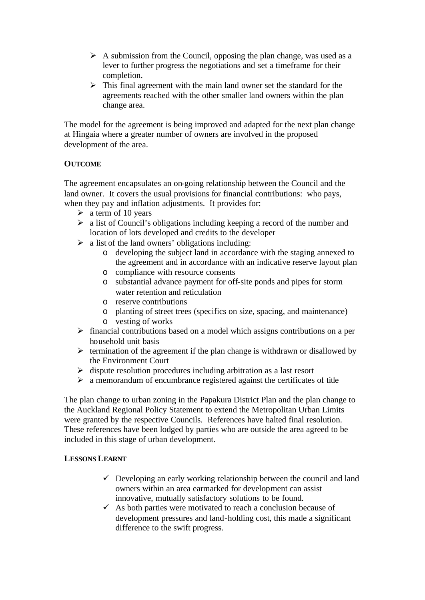- $\triangleright$  A submission from the Council, opposing the plan change, was used as a lever to further progress the negotiations and set a timeframe for their completion.
- $\triangleright$  This final agreement with the main land owner set the standard for the agreements reached with the other smaller land owners within the plan change area.

The model for the agreement is being improved and adapted for the next plan change at Hingaia where a greater number of owners are involved in the proposed development of the area.

## **OUTCOME**

The agreement encapsulates an on-going relationship between the Council and the land owner. It covers the usual provisions for financial contributions: who pays, when they pay and inflation adjustments. It provides for:

- $\triangleright$  a term of 10 years
- $\triangleright$  a list of Council's obligations including keeping a record of the number and location of lots developed and credits to the developer
- $\triangleright$  a list of the land owners' obligations including:
	- o developing the subject land in accordance with the staging annexed to the agreement and in accordance with an indicative reserve layout plan
	- o compliance with resource consents
	- o substantial advance payment for off-site ponds and pipes for storm water retention and reticulation
	- o reserve contributions
	- o planting of street trees (specifics on size, spacing, and maintenance)
	- o vesting of works
- $\triangleright$  financial contributions based on a model which assigns contributions on a per household unit basis
- $\triangleright$  termination of the agreement if the plan change is withdrawn or disallowed by the Environment Court
- $\triangleright$  dispute resolution procedures including arbitration as a last resort
- $\geq$  a memorandum of encumbrance registered against the certificates of title

The plan change to urban zoning in the Papakura District Plan and the plan change to the Auckland Regional Policy Statement to extend the Metropolitan Urban Limits were granted by the respective Councils. References have halted final resolution. These references have been lodged by parties who are outside the area agreed to be included in this stage of urban development.

# **LESSONS LEARNT**

- $\checkmark$  Developing an early working relationship between the council and land owners within an area earmarked for development can assist innovative, mutually satisfactory solutions to be found.
- $\checkmark$  As both parties were motivated to reach a conclusion because of development pressures and land-holding cost, this made a significant difference to the swift progress.